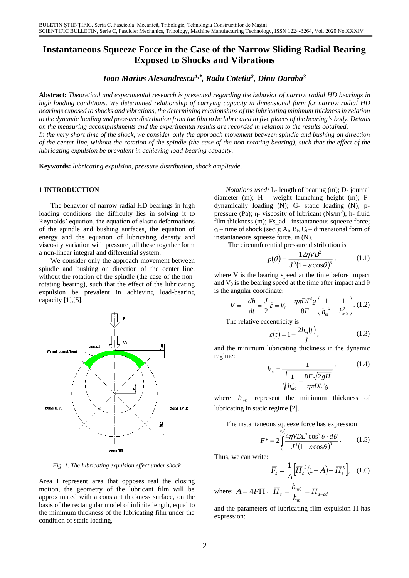# **Instantaneous Squeeze Force in the Case of the Narrow Sliding Radial Bearing Exposed to Shocks and Vibrations**

*Ioan Marius Alexandrescu1,\* , Radu Cotetiu<sup>2</sup> , Dinu Daraba<sup>3</sup>*

**Abstract:** *Theoretical and experimental research is presented regarding the behavior of narrow radial HD bearings in high loading conditions. We determined relationship of carrying capacity in dimensional form for narrow radial HD bearings exposed to shocks and vibrations, the determining relationships of the lubricating minimum thickness in relation to the dynamic loading and pressure distribution from the film to be lubricated in five places of the bearing's body. Details on the measuring accomplishments and the experimental results are recorded in relation to the results obtained.* In the very short time of the shock, we consider only the approach movement between spindle and bushing on direction *of the center line, without the rotation of the spindle (the case of the non-rotating bearing), such that the effect of the lubricating expulsion be prevalent in achieving load-bearing capacity.*

**Keywords:** *lubricating expulsion, pressure distribution, shock amplitude.*

### **1 INTRODUCTION**

The behavior of narrow radial HD bearings in high loading conditions the difficulty lies in solving it to Reynolds' equation¸ the equation of elastic deformations of the spindle and bushing surfaces¸ the equation of energy and the equation of lubricating density and viscosity variation with pressure¸ all these together form a non-linear integral and differential system.

We consider only the approach movement between spindle and bushing on direction of the center line, without the rotation of the spindle (the case of the nonrotating bearing), such that the effect of the lubricating expulsion be prevalent in achieving load-bearing capacity [1],[5].



*Fig. 1. The lubricating expulsion effect under shock*

Area I represent area that opposes real the closing motion, the geometry of the lubricant film will be approximated with a constant thickness surface, on the basis of the rectangular model of infinite length, equal to the minimum thickness of the lubricating film under the condition of static loading,

*Notations used:* L- length of bearing (m); D- journal diameter (m); H - weight launching height (m); Fdynamically loading (N); G- static loading (N); ppressure (Pa);  $\eta$ - viscosity of lubricant (Ns/m<sup>2</sup>); h- fluid film thickness (m); Fs\_ad - instantaneous squeeze force;  $c_i$  – time of shock (sec.);  $A_i$ ,  $B_i$ ,  $C_i$  – dimensional form of instantaneous squeeze force, in (N).

The circumferential pressure distribution is

$$
p(\theta) = \frac{12\eta V B^2}{J^3 (1 - \varepsilon \cos \theta)^3},
$$
 (1.1)

where V is the bearing speed at the time before impact and  $V_0$  is the bearing speed at the time after impact and  $\theta$ is the angular coordinate:

$$
V = -\frac{dh}{dt} = \frac{J}{2}\dot{\varepsilon} = V_0 - \frac{\eta \pi D L^3 g}{8F} \left(\frac{1}{h_m^2} - \frac{1}{h_{m0}^2}\right). (1.2)
$$

The relative eccentricity is

$$
\varepsilon(t) = 1 - \frac{2h_m(t)}{J},\tag{1.3}
$$

and the minimum lubricating thickness in the dynamic regime:

$$
h_m = \frac{1}{\sqrt{\frac{1}{h_{m0}^2} + \frac{8F\sqrt{2gH}}{\eta \pi DL^3 g}}},
$$
(1.4)

where  $h_{m0}$  represent the minimum thickness of lubricating in static regime [2].

The instantaneous squeeze force has expression

$$
F^* = 2 \int_0^{\frac{\pi}{2}} \frac{4\eta V D L^3 \cos^2 \theta \cdot d\theta}{J^3 (1 - \varepsilon \cos \theta)^3}.
$$
 (1.5)

Thus, we can write:

$$
\overline{F}_s = \frac{1}{A} \Big[ \overline{H}_s^3 (1 + A) - \overline{H}_s^5 \Big], \quad (1.6)
$$

where:  $A = 4F\Pi$ ,  $H_s = \frac{n_{m0}}{h} = H_{s-ad}$ *m*  $\overline{H}_s = \frac{h_{m0}}{L} = H_{s-1}$  $\Omega$ 

and the parameters of lubricating film expulsion  $\Pi$  has expression: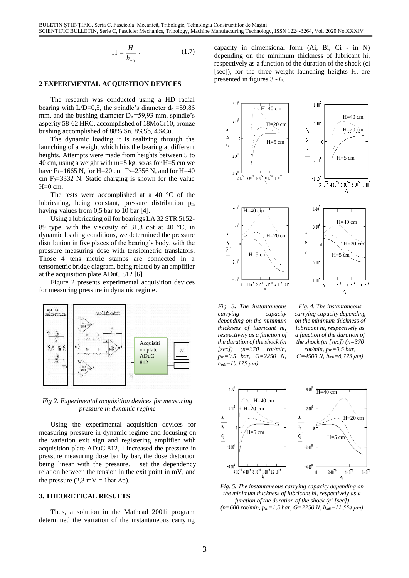$$
\Pi = \frac{H}{h_{m0}} \tag{1.7}
$$

#### **2 EXPERIMENTAL ACQUISITION DEVICES**

The research was conducted using a HD radial bearing with  $L/D=0.5$ , the spindle's diameter  $d_e = 59,86$ mm, and the bushing diameter  $D_e = 59.93$  mm, spindle's asperity 58-62 HRC, accomplished of 18MoCr10, bronze bushing accomplished of 88% Sn, 8%Sb, 4%Cu.

The dynamic loading it is realizing through the launching of a weight which hits the bearing at different heights. Attempts were made from heights between 5 to 40 cm, using a weight with m=5 kg, so as for H=5 cm we have F<sub>1</sub>=1665 N, for H=20 cm F<sub>2</sub>=2356 N, and for H=40 cm  $F_3 = 3332$  N. Static charging is shown for the value H=0 cm.

The tests were accomplished at a 40  $\degree$ C of the lubricating, being constant, pressure distribution pin having values from 0,5 bar to 10 bar [4].

Using a lubricating oil for bearings LA 32 STR 5152- 89 type, with the viscosity of 31,3 cSt at 40  $^{\circ}$ C, in dynamic loading conditions, we determined the pressure distribution in five places of the bearing's body, with the pressure measuring dose with tensiometric translators. Those 4 tens metric stamps are connected in a tensometric bridge diagram, being related by an amplifier at the acquisition plate ADuC 812 [6].

Figure 2 presents experimental acquisition devices for measuring pressure in dynamic regime.



*Fig 2. Experimental acquisition devices for measuring pressure in dynamic regime*

Using the experimental acquisition devices for measuring pressure in dynamic regime and focusing on the variation exit sign and registering amplifier with acquisition plate ADuC 812, I increased the pressure in pressure measuring dose bar by bar, the dose distortion being linear with the pressure. I set the dependency relation between the tension in the exit point in mV, and the pressure (2,3 mV = 1bar  $\Delta p$ ).

#### **3. THEORETICAL RESULTS**

Thus, a solution in the Mathcad 2001i program determined the variation of the instantaneous carrying capacity in dimensional form (Ai, Bi, Ci - in N) depending on the minimum thickness of lubricant hi, respectively as a function of the duration of the shock (ci [sec]), for the three weight launching heights H, are presented in figures 3 - 6.



*Fig. 3. The instantaneous carrying capacity depending on the minimum thickness of lubricant hi, respectively as a function of the duration of the shock (ci [sec]) (n=370 rot/min, pin=0,5 bar, G=2250 N, hm0=10,175 μm)*

*Fig. 4. The instantaneous carrying capacity depending on the minimum thickness of lubricant hi, respectively as a function of the duration of the shock (ci [sec]) (n=370 rot/min, pin=0,5 bar, G=4500 N, hm0=6,723 μm)*



*Fig. 5. The instantaneous carrying capacity depending on the minimum thickness of lubricant hi, respectively as a function of the duration of the shock (ci [sec]) (n=600 rot/min, pin=1,5 bar, G=2250 N, hm0=12,554 μm)*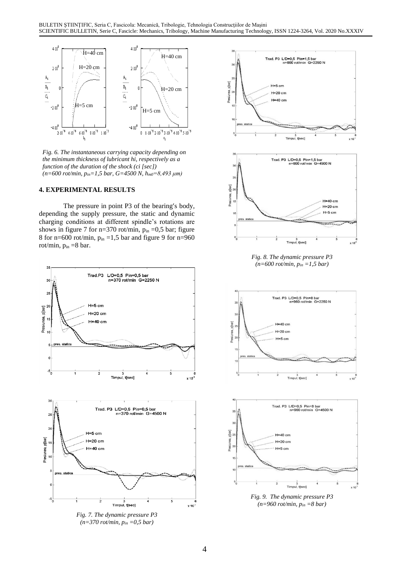

*Fig. 6. The instantaneous carrying capacity depending on the minimum thickness of lubricant hi, respectively as a function of the duration of the shock (ci [sec]) (n=600 rot/min, pin=1,5 bar, G=4500 N, hm0=8,493 μm)*

## **4. EXPERIMENTAL RESULTS**

The pressure in point P3 of the bearing's body, depending the supply pressure, the static and dynamic charging conditions at different spindle's rotations are shows in figure 7 for n=370 rot/min,  $p_{in} = 0.5$  bar; figure 8 for n=600 rot/min,  $p_{in} = 1,5$  bar and figure 9 for n=960 rot/min,  $p_{in} = 8$  bar.



*Fig. 7. The dynamic pressure P3 (n=370 rot/min, pin =0,5 bar)*



*Fig. 8. The dynamic pressure P3 (n=600 rot/min, pin =1,5 bar)*





*Fig. 9. The dynamic pressure P3 (n=960 rot/min, pin =8 bar)*